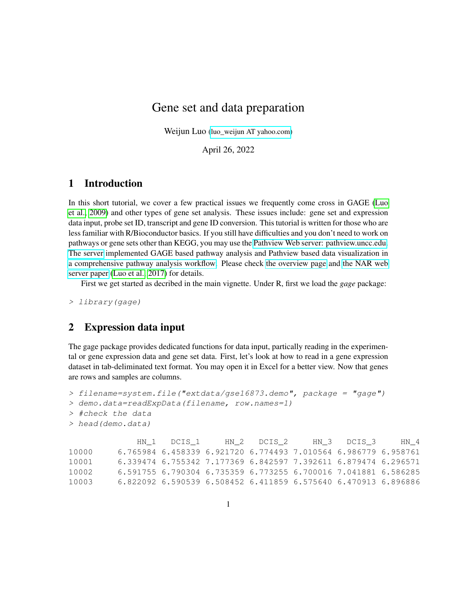# Gene set and data preparation

Weijun Luo [\(luo\\_weijun AT yahoo.com\)](mailto:luo_weijun@yahoo.com)

April 26, 2022

#### 1 Introduction

In this short tutorial, we cover a few practical issues we frequently come cross in GAGE [\(Luo](#page-5-0) [et al., 2009\)](#page-5-0) and other types of gene set analysis. These issues include: gene set and expression data input, probe set ID, transcript and gene ID conversion. This tutorial is written for those who are less familiar with R/Bioconductor basics. If you still have difficulties and you don't need to work on pathways or gene sets other than KEGG, you may use the [Pathview Web server: pathview.uncc.edu.](https://pathview.uncc.edu/) [The server](https://pathview.uncc.edu/) implemented GAGE based pathway analysis and Pathview based data visualization in [a comprehensive pathway analysis workflow.](https://pathview.uncc.edu/example4) Please check [the overview page](https://pathview.uncc.edu/overview) and [the NAR web](https://academic.oup.com/nar/article-lookup/doi/10.1093/nar/gkx372) [server paper](https://academic.oup.com/nar/article-lookup/doi/10.1093/nar/gkx372) [\(Luo et al., 2017\)](#page-5-1) for details.

First we get started as decribed in the main vignette. Under R, first we load the *gage* package:

> library(gage)

## 2 Expression data input

The gage package provides dedicated functions for data input, partically reading in the experimental or gene expression data and gene set data. First, let's look at how to read in a gene expression dataset in tab-deliminated text format. You may open it in Excel for a better view. Now that genes are rows and samples are columns.

```
> filename=system.file("extdata/gse16873.demo", package = "gage")
> demo.data=readExpData(filename, row.names=1)
> #check the data
> head(demo.data)
             HN_1 DCIS_1 HN_2 DCIS_2 HN_3 DCIS_3 HN_4
10000 6.765984 6.458339 6.921720 6.774493 7.010564 6.986779 6.958761
10001 6.339474 6.755342 7.177369 6.842597 7.392611 6.879474 6.296571
10002 6.591755 6.790304 6.735359 6.773255 6.700016 7.041881 6.586285
10003 6.822092 6.590539 6.508452 6.411859 6.575640 6.470913 6.896886
```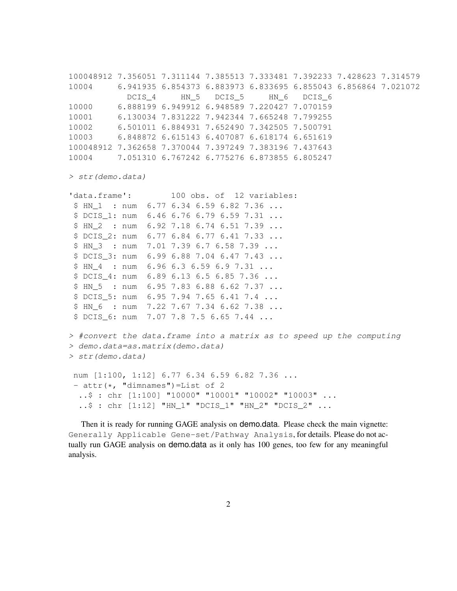100048912 7.356051 7.311144 7.385513 7.333481 7.392233 7.428623 7.314579 10004 6.941935 6.854373 6.883973 6.833695 6.855043 6.856864 7.021072 DCIS 4 HN 5 DCIS 5 HN 6 DCIS 6 10000 6.888199 6.949912 6.948589 7.220427 7.070159 10001 6.130034 7.831222 7.942344 7.665248 7.799255 10002 6.501011 6.884931 7.652490 7.342505 7.500791 10003 6.848872 6.615143 6.407087 6.618174 6.651619 100048912 7.362658 7.370044 7.397249 7.383196 7.437643 10004 7.051310 6.767242 6.775276 6.873855 6.805247

> str(demo.data)

```
'data.frame': 100 obs. of 12 variables:
$ HN 1 : num 6.77 6.34 6.59 6.82 7.36 ...
$ DCIS 1: num 6.46 6.76 6.79 6.59 7.31 ...
$ HN_2 : num 6.92 7.18 6.74 6.51 7.39 ...
$ DCIS 2: num 6.77 6.84 6.77 6.41 7.33 ...
$ HN 3 : num 7.01 7.39 6.7 6.58 7.39 ...
$ DCIS 3: num 6.99 6.88 7.04 6.47 7.43 ...
$ HN_4 : num 6.96 6.3 6.59 6.9 7.31 ...
$ DCIS 4: num 6.89 6.13 6.5 6.85 7.36 ...
$ HN_5 : num 6.95 7.83 6.88 6.62 7.37 ...
$ DCIS_5: num 6.95 7.94 7.65 6.41 7.4 ...
$ HN_6 : num 7.22 7.67 7.34 6.62 7.38 ...
$ DCIS_6: num 7.07 7.8 7.5 6.65 7.44 ...
```

```
> #convert the data.frame into a matrix as to speed up the computing
> demo.data=as.matrix(demo.data)
> str(demo.data)
num [1:100, 1:12] 6.77 6.34 6.59 6.82 7.36 ...
```

```
- attr(\star, "dimnames")=List of 2
 ..$ : chr [1:100] "10000" "10001" "10002" "10003" ...
 ..$ : chr [1:12] "HN_1" "DCIS_1" "HN_2" "DCIS_2" ...
```
Then it is ready for running GAGE analysis on demo.data. Please check the main vignette: Generally Applicable Gene-set/Pathway Analysis, for details. Please do not actually run GAGE analysis on demo.data as it only has 100 genes, too few for any meaningful analysis.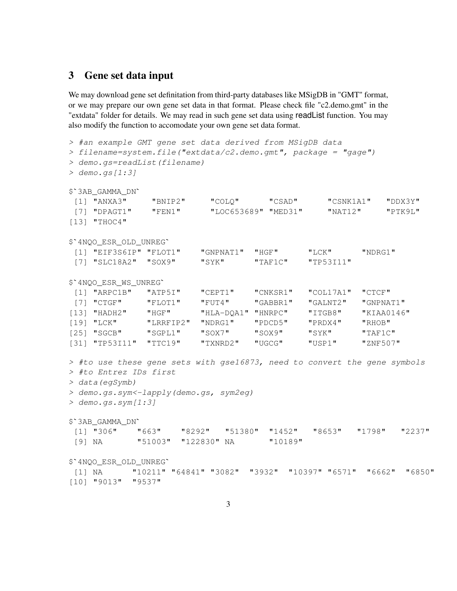# 3 Gene set data input

We may download gene set definitation from third-party databases like MSigDB in "GMT" format, or we may prepare our own gene set data in that format. Please check file "c2.demo.gmt" in the "extdata" folder for details. We may read in such gene set data using readList function. You may also modify the function to accomodate your own gene set data format.

```
> #an example GMT gene set data derived from MSigDB data
> filename=system.file("extdata/c2.demo.gmt", package = "gage")
> demo.gs=readList(filename)
$`3AB_GAMMA_DN`
> demo.gs[1:3]
[1] "ANXA3" "BNIP2" "COLQ" "CSAD" "CSNK1A1" "DDX3Y"
[7] "DPAGT1" "FEN1" "LOC653689" "MED31" "NAT12" "PTK9L"
[13] "THOC4"
$`4NQO_ESR_OLD_UNREG`
[1] "EIF3S6IP" "FLOT1" "GNPNAT1" "HGF" "LCK" "NDRG1"
[7] "SLC18A2" "SOX9" "SYK" "TAF1C" "TP53I11"
$`4NQO_ESR_WS_UNREG`
[1] "ARPC1B" "ATP5I" "CEPT1" "CNKSR1" "COL17A1" "CTCF"
[7] "CTGF" "FLOT1" "FUT4" "GABBR1" "GALNT2" "GNPNAT1"
[13] "HADH2" "HGF" "HLA-DQA1" "HNRPC" "ITGB8" "KIAA0146"
[19] "LCK" "LRRFIP2" "NDRG1" "PDCD5" "PRDX4" "RHOB"
[25] "SGCB" "SGPL1" "SOX7" "SOX9" "SYK" "TAF1C"
[31] "TP53I11" "TTC19" "TXNRD2" "UGCG" "USP1" "ZNF507"
> #to use these gene sets with gse16873, need to convert the gene symbols
> #to Entrez IDs first
> data(egSymb)
> demo.gs.sym<-lapply(demo.gs, sym2eg)
$`3AB_GAMMA_DN`
> demo.gs.sym[1:3]
[1] "306" "663" "8292" "51380" "1452" "8653" "1798" "2237"
[9] NA "51003" "122830" NA "10189"
$`4NQO_ESR_OLD_UNREG`
[1] NA "10211" "64841" "3082" "3932" "10397" "6571" "6662" "6850"
[10] "9013" "9537"
```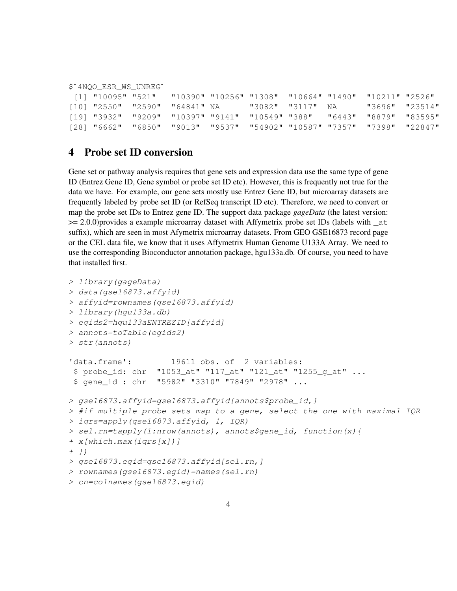\$`4NQO\_ESR\_WS\_UNREG`

| [1] "10095" "521"             |  |                  | "10390" "10256" "1308" "10664" "1490" "10211" "2526"                   |                |  |
|-------------------------------|--|------------------|------------------------------------------------------------------------|----------------|--|
| [10] "2550" "2590" "64841" NA |  | "3082" "3117" NA |                                                                        | "3696" "23514" |  |
|                               |  |                  | [19] "3932" "9209" "10397" "9141" "10549" "388" "6443" "8879" "83595"  |                |  |
|                               |  |                  | [28] "6662" "6850" "9013" "9537" "54902" "10587" "7357" "7398" "22847" |                |  |

#### 4 Probe set ID conversion

Gene set or pathway analysis requires that gene sets and expression data use the same type of gene ID (Entrez Gene ID, Gene symbol or probe set ID etc). However, this is frequently not true for the data we have. For example, our gene sets mostly use Entrez Gene ID, but microarray datasets are frequently labeled by probe set ID (or RefSeq transcript ID etc). Therefore, we need to convert or map the probe set IDs to Entrez gene ID. The support data package *gageData* (the latest version:  $>= 2.0.0$ )provides a example microarray dataset with Affymetrix probe set IDs (labels with  $\pm 1$ ) suffix), which are seen in most Afymetrix microarray datasets. From GEO GSE16873 record page or the CEL data file, we know that it uses Affymetrix Human Genome U133A Array. We need to use the corresponding Bioconductor annotation package, hgu133a.db. Of course, you need to have that installed first.

```
> library(gageData)
> data(gse16873.affyid)
> affyid=rownames(gse16873.affyid)
> library(hgu133a.db)
> egids2=hgu133aENTREZID[affyid]
> annots=toTable(egids2)
> str(annots)
'data.frame': 19611 obs. of 2 variables:
$ probe_id: chr "1053_at" "117_at" "121_at" "1255_g_at" ...
$ gene_id : chr "5982" "3310" "7849" "2978" ...
> gse16873.affyid=gse16873.affyid[annots$probe_id,]
> #if multiple probe sets map to a gene, select the one with maximal IQR
> iqrs=apply(gse16873.affyid, 1, IQR)
> sel.rn=tapply(1:nrow(annots), annots$gene_id, function(x){
+ x[which.max(iqrs[x])]
+ } }
> gse16873.egid=gse16873.affyid[sel.rn,]
> rownames(gse16873.egid)=names(sel.rn)
> cn=colnames(gse16873.egid)
```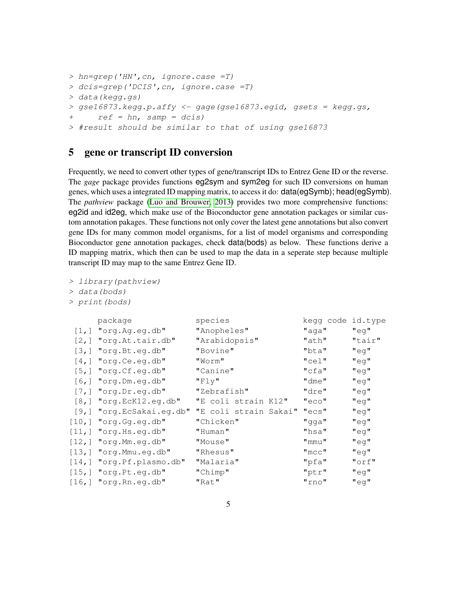```
> hn=grep('HN',cn, ignore.case =T)
> dcis=grep('DCIS',cn, ignore.case =T)
> data(kegg.gs)
> gse16873.kegg.p.affy <- gage(gse16873.egid, gsets = kegg.gs,
+ ref = hn, samp = dcis)
> #result should be similar to that of using gse16873
```
# 5 gene or transcript ID conversion

Frequently, we need to convert other types of gene/transcript IDs to Entrez Gene ID or the reverse. The *gage* package provides functions eg2sym and sym2eg for such ID conversions on human genes, which uses a integrated ID mapping matrix, to access it do: data(egSymb); head(egSymb). The *pathview* package [\(Luo and Brouwer, 2013\)](#page-5-2) provides two more comprehensive functions: eg2id and id2eg, which make use of the Bioconductor gene annotation packages or similar custom annotation pakages. These functions not only cover the latest gene annotations but also convert gene IDs for many common model organisms, for a list of model organisms and corresponding Bioconductor gene annotation packages, check data(bods) as below. These functions derive a ID mapping matrix, which then can be used to map the data in a seperate step because multiple transcript ID may map to the same Entrez Gene ID.

```
> library(pathview)
```

```
> data(bods)
```

```
> print(bods)
```

|                    | package                    | species               | kegg code id.type |          |
|--------------------|----------------------------|-----------------------|-------------------|----------|
| $\lceil 1, \rceil$ | "org.Ag.eg.db"             | "Anopheles"           | "aga"             | "eq"     |
| $\lceil 2$ , 1     | "org.At.tair.db"           | "Arabidopsis"         | "ath"             | "tair"   |
| [3,]               | "org.Bt.eg.db"             | "Bovine"              | "bta"             | "eq"     |
| [4,]               | "org.Ce.eg.db"             | "Worm"                | $"$ cel"          | "eq"     |
|                    | $[5,]$ "org. Cf.eg.db"     | "Canine"              | $"$ cfa $"$       | "eq"     |
| [6, 1]             | "org.Dm.eg.db"             | "Fly"                 | $"$ dme $"$       | "eq"     |
|                    | $[7,]$ "org. Dr. eg. db"   | "Zebrafish"           | "dre"             | "eg"     |
|                    | $[8,]$ "org.EcK12.eg.db"   | "E coli strain K12"   | "eco"             | "eq"     |
|                    | [9,] "org.EcSakai.eg.db"   | "E coli strain Sakai" | "ecs"             | "eq"     |
| [10,]              | "org.Gg.eg.db"             | "Chicken"             | "gga"             | "eq"     |
|                    | $[11,]$ "org. Hs.eg.db"    | "Human"               | "hsa"             | "eq"     |
|                    | $[12,]$ "org. Mm. eq. db"  | "Mouse"               | "mmu"             | "eq"     |
|                    | $[13,]$ "org. Mmu.eg.db"   | "Rhesus"              | $"$ mcc $"$       | "eq"     |
|                    | [14,] "org. Pf. plasmo.db" | "Malaria"             | "pfa"             | $"$ orf" |
|                    | $[15,]$ "org. Pt.eg.db"    | "Chimp"               | "ptr"             | "eq"     |
|                    | $[16,]$ "org. Rn. eq. db"  | "Rat"                 | "rno"             | "eq"     |